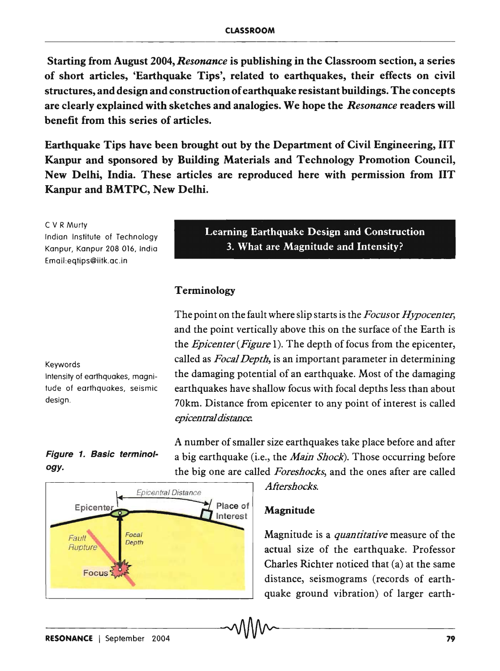Starting from August 2004, *Resonance* is publishing in the Classroom section, a series of short articles, 'Earthquake Tips', related to earthquakes, their effects on civil structures, and design and construction of earthquake resistant buildings. The concepts are clearly explained with sketches and analogies. We hope the *Resonance* readers will benefit from this series of articles.

Earthquake Tips have been brought out by the Department of Civil Engineering, lIT Kanpur and sponsored by Building Materials and Technology Promotion Council, New Delhi, India. These articles are reproduced here with permission from lIT Kanpur and BMTPC, New Delhi.

C V R Murty Indian Institute of Technology Kanpur, Kanpur 208 016, India Email:eqtips@iitk.ac.in

Learning Earthquake Design and Construction 3. What are Magnitude and Intensity?

#### Terminology

The point on the fault where slip starts is the *Focusor Hypocenter,*  and the point vertically above this on the surface of the Earth is the *Epicenter (Figure* 1). The depth of focus from the epicenter, called as *Focal Depth,* is an important parameter in determining the damaging potential of an earthquake. Most of the damaging earthquakes have shallow focus with focal depths less than about 70km. Distance from epicenter to any point of interest is called *epicentrai distance.* 

A number of smaller size earthquakes take place before and after a big earthquake (i.e., the *Main Shock).* Those occurring before

Keywords

Intensity of earthquakes, magnitude of earthquakes, seismic design.

# Figure 1. Basic terminology.



### Magnitude

Magnitude is a *quantitative* measure of the actual size of the earthquake. Professor Charles Richter noticed that (a) at the same distance, seismograms (records of earthquake ground vibration) of larger earth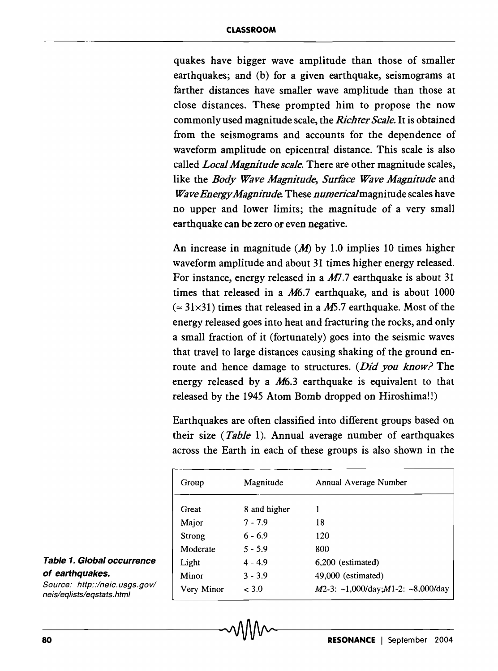quakes have bigger wave amplitude than those of smaller earthquakes; and (b) for a given earthquake, seismograms at farther distances have smaller wave amplitude than those at close distances. These prompted him to propose the now commonly used magnitude scale, the *Richter Scale.* It is obtained from the seismograms and accounts for the dependence of waveform amplitude on epicentral distance. This scale is also called *Local Magnitude scale.* There are other magnitude scales, like the *Body Wave Magnitude, Surface Wave Magnitude* and *Wave Energy Magnitude.* These *numericalmagnitude* scales have no upper and lower limits; the magnitude of a very small earthquake can be zero or even negative.

An increase in magnitude  $(M)$  by 1.0 implies 10 times higher waveform amplitude and about 31 times higher energy released. For instance, energy released in a *M*7.7 earthquake is about 31 times that released in a *M6.7* earthquake, and is about 1000  $(2.31\times31)$  times that released in a M5.7 earthquake. Most of the energy released goes into heat and fracturing the rocks, and only a small fraction of it (fortunately) goes into the seismic waves that travel to large distances causing shaking of the ground enroute and hence damage to structures. *(Did you know?* The energy released by a *M6.3* earthquake is equivalent to that released by the 1945 Atom Bomb dropped on Hiroshima!!)

Earthquakes are often classified into different groups based on their size *(Table* 1). Annual average number of earthquakes across the Earth in each of these groups is also shown in the

| Group      | Magnitude    | Annual Average Number                    |  |
|------------|--------------|------------------------------------------|--|
| Great      | 8 and higher |                                          |  |
| Major      | $7 - 7.9$    | 18                                       |  |
| Strong     | $6 - 6.9$    | 120                                      |  |
| Moderate   | $5 - 5.9$    | 800                                      |  |
| Light      | $4 - 4.9$    | 6,200 (estimated)                        |  |
| Minor      | $3 - 3.9$    | 49,000 (estimated)                       |  |
| Very Minor | < 3.0        | $M2-3$ : ~1,000/day; $M1-2$ : ~8,000/day |  |

#### Table 1. Global occurrence of earthquakes.

Source: http::/neic.usgs.gov/ neis/eqlists/eqstats.html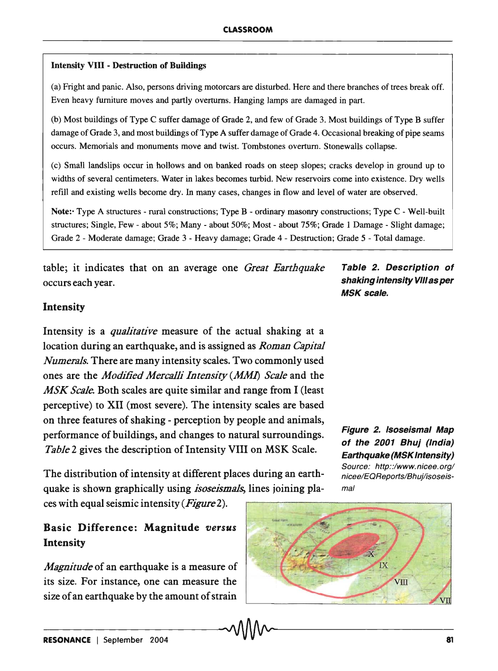#### Intensity VIII - Destruction of Buildings

(a) Fright and panic. Also, persons driving motorcars are disturbed. Here and there branches of trees break off. Even heavy furniture moves and partly overturns. Hanging lamps are damaged in part.

(b) Most buildings of Type C suffer damage of Grade 2, and few of Grade 3. Most buildings of Type B suffer damage of Grade 3, and most buildings of Type A suffer damage of Grade 4. Occasional breaking of pipe seams occurs. Memorials and monuments move and twist. Tombstones overturn. Stonewalls collapse.

(c) Smalllandslips occur in hollows and on banked roads on steep slopes; cracks develop in ground up to widths of several centimeters. Water in lakes becomes turbid. New reservoirs come into existence. Dry wells refill and existing wells become dry. In many cases, changes in flow and level of water are observed.

Note:· Type A structures - rural constructions; Type B - ordinary masonry constructions; Type C - Well-built structures; Single, Few - about 5%; Many - about 50%; Most - about 75%; Grade 1 Damage - Slight damage; Grade 2 - Moderate damage; Grade 3 - Heavy damage; Grade 4 - Destruction; Grade 5 - Total damage.

table; it indicates that on an average one *Great Earthquake*  occurs each year.

Table 2. Description of shaking intensity VIII as per MSK scale.

### Intensity

Intensity is a *qualitative* measure of the actual shaking at a location during an earthquake, and is assigned as *Roman Capital Numerals.* There are many intensity scales. Two commonly used ones are the *Modified Mercalli Intensity (MMl) Scale* and the *MSK ScaJe.* Both scales are quite similar and range from I (least perceptive) to XII (most severe). The intensity scales are based on three features of shaking - perception by people and animals, performance of buildings, and changes to natural surroundings. *Table* 2 gives the description of Intensity VIII on MSK Scale.

The distribution of intensity at different places during an earthquake is shown graphically using *isoseismals,* lines joining pla-

ces with equal seismic intensity *(Figure 2).* 

# Basic Difference: Magnitude versus Intensity

*Magnitude* of an earthquake is a measure of its size. For instance, one can measure the size of an earthquake by the amount of strain



#### Figure 2. Isoseismal Map of the 2001 Bhuj (India) Earthquake (MSK Intensity) Source: http::/www.nicee.org/

nicee/EQReports/Bhui/isoseismal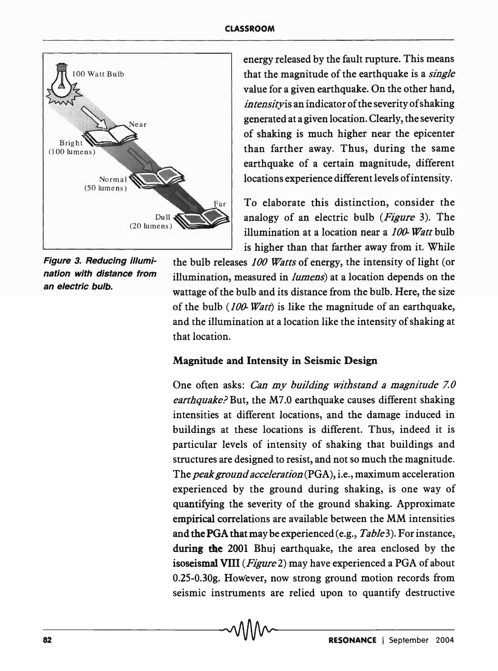

Figure 3. Reducing illumination with distance from an electric bulb.

energy released by the fault rupture. This means that the magnitude of the earthquake is a *single*  value for a given earthquake. On the other hand, in *tensity* is an indicator of the severity of shaking generated at a given location. Clearly, the severity of shaking is much higher near the epicenter than farther away. Thus, during the same earthquake of a certain magnitude, different locations experience different levels ofintensity.

To elaborate this distinction, consider the analogy of an electric bulb *(Figure* 3). The illumination at a location near a *100- Watt* bulb is higher than that farther away from it. While

the bulb releases *100 Watts* of energy, the intensity of light (or illumination, measured in *lumens)* at a location depends on the wattage of the bulb and its distance from the bulb. Here, the size of the bulb *(100- Watt)* is like the magnitude of an earthquake, and the illumination at a location like the intensity of shaking at that location.

# Magnitude and Intensity in Seismic Design

One often asks: *Can my building withstand a magnitude 7.0 earthquake?* But, the M7.0 earthquake causes different shaking intensities at different locations, and the damage induced in buildings at these locations is different. Thus, indeed it is particular levels of intensity of shaking that buildings and structures are designed to resist, and not so much the magnitude. The *peak ground acceleration* (PGA), i.e., maximum acceleration experienced by the ground during shaking, is one way of quantifying the severity of the ground shaking. Approximate empirical correlations are available between the MM intensities and thePGA that maybe experienced (e.g., *Table3).* For instance, during the 2001 Bhuj earthquake, the area enclosed by the isoseismal VIII *(Figure* 2) may have experienced a PGA of about O.25-0.30g. However, now strong ground motion records from seismic instruments are relied upon to quantify destructive